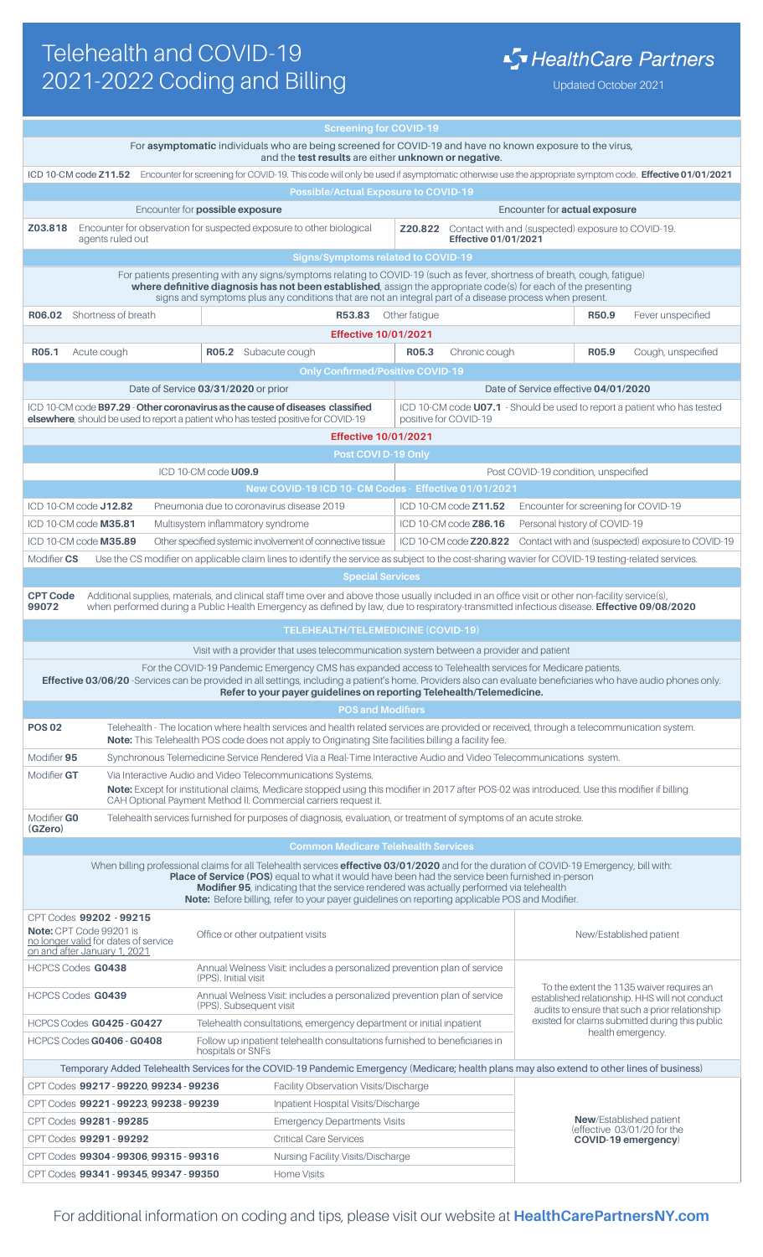## Telehealth and COVID-19 2021-2022 Coding and Billing Updated October 2021

|                                                                                                                                                                                                                                                                                                                                                                                                                                                         |                                                                                                                                                                                      | <b>Screening for COVID-19</b>                                                                                                                                                                                                               |                               |                                                                                                                                                |                                                                          |  |  |  |
|---------------------------------------------------------------------------------------------------------------------------------------------------------------------------------------------------------------------------------------------------------------------------------------------------------------------------------------------------------------------------------------------------------------------------------------------------------|--------------------------------------------------------------------------------------------------------------------------------------------------------------------------------------|---------------------------------------------------------------------------------------------------------------------------------------------------------------------------------------------------------------------------------------------|-------------------------------|------------------------------------------------------------------------------------------------------------------------------------------------|--------------------------------------------------------------------------|--|--|--|
| For asymptomatic individuals who are being screened for COVID-19 and have no known exposure to the virus,<br>and the test results are either unknown or negative.                                                                                                                                                                                                                                                                                       |                                                                                                                                                                                      |                                                                                                                                                                                                                                             |                               |                                                                                                                                                |                                                                          |  |  |  |
|                                                                                                                                                                                                                                                                                                                                                                                                                                                         |                                                                                                                                                                                      |                                                                                                                                                                                                                                             |                               |                                                                                                                                                |                                                                          |  |  |  |
| ICD 10-CM code Z11.52 Encounter for screening for COVID-19. This code will only be used if asymptomatic otherwise use the appropriate symptom code. Effective 01/01/2021<br><b>Possible/Actual Exposure to COVID-19</b>                                                                                                                                                                                                                                 |                                                                                                                                                                                      |                                                                                                                                                                                                                                             |                               |                                                                                                                                                |                                                                          |  |  |  |
| Encounter for possible exposure<br>Encounter for actual exposure                                                                                                                                                                                                                                                                                                                                                                                        |                                                                                                                                                                                      |                                                                                                                                                                                                                                             |                               |                                                                                                                                                |                                                                          |  |  |  |
| Z03.818                                                                                                                                                                                                                                                                                                                                                                                                                                                 |                                                                                                                                                                                      | Encounter for observation for suspected exposure to other biological                                                                                                                                                                        | Z20.822                       |                                                                                                                                                | Contact with and (suspected) exposure to COVID-19.                       |  |  |  |
|                                                                                                                                                                                                                                                                                                                                                                                                                                                         | agents ruled out                                                                                                                                                                     |                                                                                                                                                                                                                                             | Effective 01/01/2021          |                                                                                                                                                |                                                                          |  |  |  |
| <b>Signs/Symptoms related to COVID-19</b>                                                                                                                                                                                                                                                                                                                                                                                                               |                                                                                                                                                                                      |                                                                                                                                                                                                                                             |                               |                                                                                                                                                |                                                                          |  |  |  |
|                                                                                                                                                                                                                                                                                                                                                                                                                                                         |                                                                                                                                                                                      | For patients presenting with any signs/symptoms relating to COVID-19 (such as fever, shortness of breath, cough, fatigue)<br>where definitive diagnosis has not been established, assign the appropriate code(s) for each of the presenting |                               |                                                                                                                                                |                                                                          |  |  |  |
|                                                                                                                                                                                                                                                                                                                                                                                                                                                         |                                                                                                                                                                                      | signs and symptoms plus any conditions that are not an integral part of a disease process when present.                                                                                                                                     |                               |                                                                                                                                                |                                                                          |  |  |  |
|                                                                                                                                                                                                                                                                                                                                                                                                                                                         | <b>R06.02</b> Shortness of breath                                                                                                                                                    | R53.83                                                                                                                                                                                                                                      | Other fatigue                 |                                                                                                                                                | Fever unspecified<br>R50.9                                               |  |  |  |
|                                                                                                                                                                                                                                                                                                                                                                                                                                                         |                                                                                                                                                                                      | <b>Effective 10/01/2021</b>                                                                                                                                                                                                                 |                               |                                                                                                                                                |                                                                          |  |  |  |
| R05.1                                                                                                                                                                                                                                                                                                                                                                                                                                                   | Acute cough                                                                                                                                                                          | R05.2 Subacute cough                                                                                                                                                                                                                        | R05.3<br>Chronic cough        |                                                                                                                                                | R05.9<br>Cough, unspecified                                              |  |  |  |
|                                                                                                                                                                                                                                                                                                                                                                                                                                                         |                                                                                                                                                                                      | <b>Only Confirmed/Positive COVID-19</b>                                                                                                                                                                                                     |                               |                                                                                                                                                |                                                                          |  |  |  |
|                                                                                                                                                                                                                                                                                                                                                                                                                                                         |                                                                                                                                                                                      | Date of Service 03/31/2020 or prior                                                                                                                                                                                                         |                               | Date of Service effective 04/01/2020                                                                                                           |                                                                          |  |  |  |
|                                                                                                                                                                                                                                                                                                                                                                                                                                                         |                                                                                                                                                                                      | ICD 10-CM code B97.29 - Other coronavirus as the cause of diseases classified                                                                                                                                                               |                               |                                                                                                                                                | ICD 10-CM code U07.1 - Should be used to report a patient who has tested |  |  |  |
|                                                                                                                                                                                                                                                                                                                                                                                                                                                         |                                                                                                                                                                                      | elsewhere, should be used to report a patient who has tested positive for COVID-19                                                                                                                                                          | positive for COVID-19         |                                                                                                                                                |                                                                          |  |  |  |
|                                                                                                                                                                                                                                                                                                                                                                                                                                                         |                                                                                                                                                                                      | <b>Effective 10/01/2021</b>                                                                                                                                                                                                                 |                               |                                                                                                                                                |                                                                          |  |  |  |
| Post COVI D-19 Only                                                                                                                                                                                                                                                                                                                                                                                                                                     |                                                                                                                                                                                      |                                                                                                                                                                                                                                             |                               |                                                                                                                                                |                                                                          |  |  |  |
| ICD 10-CM code U09.9<br>Post COVID-19 condition, unspecified<br>New COVID-19 ICD 10- CM Codes - Effective 01/01/2021                                                                                                                                                                                                                                                                                                                                    |                                                                                                                                                                                      |                                                                                                                                                                                                                                             |                               |                                                                                                                                                |                                                                          |  |  |  |
|                                                                                                                                                                                                                                                                                                                                                                                                                                                         | ICD 10-CM code J12.82                                                                                                                                                                | Pneumonia due to coronavirus disease 2019                                                                                                                                                                                                   | ICD 10-CM code <b>Z11.52</b>  |                                                                                                                                                | Encounter for screening for COVID-19                                     |  |  |  |
|                                                                                                                                                                                                                                                                                                                                                                                                                                                         | ICD 10-CM code M35.81                                                                                                                                                                | Multisystem inflammatory syndrome                                                                                                                                                                                                           | ICD 10-CM code Z86.16         | Personal history of COVID-19                                                                                                                   |                                                                          |  |  |  |
|                                                                                                                                                                                                                                                                                                                                                                                                                                                         | ICD 10-CM code M35.89                                                                                                                                                                | Other specified systemic involvement of connective tissue                                                                                                                                                                                   | ICD 10-CM code <b>Z20.822</b> |                                                                                                                                                | Contact with and (suspected) exposure to COVID-19                        |  |  |  |
| Modifier CS                                                                                                                                                                                                                                                                                                                                                                                                                                             |                                                                                                                                                                                      | Use the CS modifier on applicable claim lines to identify the service as subject to the cost-sharing wavier for COVID-19 testing-related services.                                                                                          |                               |                                                                                                                                                |                                                                          |  |  |  |
|                                                                                                                                                                                                                                                                                                                                                                                                                                                         |                                                                                                                                                                                      | <b>Special Services</b>                                                                                                                                                                                                                     |                               |                                                                                                                                                |                                                                          |  |  |  |
| <b>CPT Code</b>                                                                                                                                                                                                                                                                                                                                                                                                                                         |                                                                                                                                                                                      | Additional supplies, materials, and clinical staff time over and above those usually included in an office visit or other non-facility service(s),                                                                                          |                               |                                                                                                                                                |                                                                          |  |  |  |
| 99072                                                                                                                                                                                                                                                                                                                                                                                                                                                   |                                                                                                                                                                                      | when performed during a Public Health Emergency as defined by law, due to respiratory-transmitted infectious disease. Effective 09/08/2020                                                                                                  |                               |                                                                                                                                                |                                                                          |  |  |  |
| <b>TELEHEALTH/TELEMEDICINE (COVID-19)</b>                                                                                                                                                                                                                                                                                                                                                                                                               |                                                                                                                                                                                      |                                                                                                                                                                                                                                             |                               |                                                                                                                                                |                                                                          |  |  |  |
|                                                                                                                                                                                                                                                                                                                                                                                                                                                         |                                                                                                                                                                                      | Visit with a provider that uses telecommunication system between a provider and patient                                                                                                                                                     |                               |                                                                                                                                                |                                                                          |  |  |  |
| For the COVID-19 Pandemic Emergency CMS has expanded access to Telehealth services for Medicare patients.                                                                                                                                                                                                                                                                                                                                               |                                                                                                                                                                                      |                                                                                                                                                                                                                                             |                               |                                                                                                                                                |                                                                          |  |  |  |
|                                                                                                                                                                                                                                                                                                                                                                                                                                                         |                                                                                                                                                                                      | Effective 03/06/20 -Services can be provided in all settings, including a patient's home. Providers also can evaluate beneficiaries who have audio phones only.                                                                             |                               |                                                                                                                                                |                                                                          |  |  |  |
| Refer to your payer guidelines on reporting Telehealth/Telemedicine.<br><b>POS and Modifiers</b>                                                                                                                                                                                                                                                                                                                                                        |                                                                                                                                                                                      |                                                                                                                                                                                                                                             |                               |                                                                                                                                                |                                                                          |  |  |  |
| <b>POS02</b>                                                                                                                                                                                                                                                                                                                                                                                                                                            |                                                                                                                                                                                      | Telehealth - The location where health services and health related services are provided or received, through a telecommunication system.                                                                                                   |                               |                                                                                                                                                |                                                                          |  |  |  |
|                                                                                                                                                                                                                                                                                                                                                                                                                                                         |                                                                                                                                                                                      | Note: This Telehealth POS code does not apply to Originating Site facilities billing a facility fee.                                                                                                                                        |                               |                                                                                                                                                |                                                                          |  |  |  |
|                                                                                                                                                                                                                                                                                                                                                                                                                                                         | Synchronous Telemedicine Service Rendered Via a Real-Time Interactive Audio and Video Telecommunications system.<br>Modifier 95                                                      |                                                                                                                                                                                                                                             |                               |                                                                                                                                                |                                                                          |  |  |  |
|                                                                                                                                                                                                                                                                                                                                                                                                                                                         | Modifier GT<br>Via Interactive Audio and Video Telecommunications Systems.                                                                                                           |                                                                                                                                                                                                                                             |                               |                                                                                                                                                |                                                                          |  |  |  |
| Note: Except for institutional claims, Medicare stopped using this modifier in 2017 after POS-02 was introduced. Use this modifier if billing                                                                                                                                                                                                                                                                                                           |                                                                                                                                                                                      |                                                                                                                                                                                                                                             |                               |                                                                                                                                                |                                                                          |  |  |  |
|                                                                                                                                                                                                                                                                                                                                                                                                                                                         | CAH Optional Payment Method II. Commercial carriers request it.<br>Telehealth services furnished for purposes of diagnosis, evaluation, or treatment of symptoms of an acute stroke. |                                                                                                                                                                                                                                             |                               |                                                                                                                                                |                                                                          |  |  |  |
| (GZero)                                                                                                                                                                                                                                                                                                                                                                                                                                                 | Modifier GO                                                                                                                                                                          |                                                                                                                                                                                                                                             |                               |                                                                                                                                                |                                                                          |  |  |  |
| <b>Common Medicare Telehealth Services</b>                                                                                                                                                                                                                                                                                                                                                                                                              |                                                                                                                                                                                      |                                                                                                                                                                                                                                             |                               |                                                                                                                                                |                                                                          |  |  |  |
| When billing professional claims for all Telehealth services <b>effective 03/01/2020</b> and for the duration of COVID-19 Emergency, bill with:<br><b>Place of Service (POS)</b> equal to what it would have been had the service been furnished in-person<br>Modifier 95, indicating that the service rendered was actually performed via telehealth<br>Note: Before billing, refer to your payer guidelines on reporting applicable POS and Modifier. |                                                                                                                                                                                      |                                                                                                                                                                                                                                             |                               |                                                                                                                                                |                                                                          |  |  |  |
| CPT Codes 99202 - 99215<br>Note: CPT Code 99201 is<br>no longer valid for dates of service<br>on and after January 1, 2021                                                                                                                                                                                                                                                                                                                              |                                                                                                                                                                                      | Office or other outpatient visits                                                                                                                                                                                                           |                               |                                                                                                                                                | New/Established patient                                                  |  |  |  |
| <b>HCPCS Codes G0438</b>                                                                                                                                                                                                                                                                                                                                                                                                                                |                                                                                                                                                                                      | Annual Welness Visit: includes a personalized prevention plan of service<br>(PPS). Initial visit                                                                                                                                            |                               | To the extent the 1135 waiver requires an<br>established relationship. HHS will not conduct<br>audits to ensure that such a prior relationship |                                                                          |  |  |  |
| <b>HCPCS Codes G0439</b>                                                                                                                                                                                                                                                                                                                                                                                                                                |                                                                                                                                                                                      | Annual Welness Visit: includes a personalized prevention plan of service<br>(PPS). Subsequent visit                                                                                                                                         |                               |                                                                                                                                                |                                                                          |  |  |  |
| HCPCS Codes G0425 - G0427                                                                                                                                                                                                                                                                                                                                                                                                                               |                                                                                                                                                                                      | Telehealth consultations, emergency department or initial inpatient                                                                                                                                                                         |                               | existed for claims submitted during this public<br>health emergency.                                                                           |                                                                          |  |  |  |
| Follow up inpatient telehealth consultations furnished to beneficiaries in<br>HCPCS Codes G0406 - G0408<br>hospitals or SNFs                                                                                                                                                                                                                                                                                                                            |                                                                                                                                                                                      |                                                                                                                                                                                                                                             |                               |                                                                                                                                                |                                                                          |  |  |  |
| Temporary Added Telehealth Services for the COVID-19 Pandemic Emergency (Medicare; health plans may also extend to other lines of business)                                                                                                                                                                                                                                                                                                             |                                                                                                                                                                                      |                                                                                                                                                                                                                                             |                               |                                                                                                                                                |                                                                          |  |  |  |
| CPT Codes 99217 - 99220, 99234 - 99236<br><b>Facility Observation Visits/Discharge</b>                                                                                                                                                                                                                                                                                                                                                                  |                                                                                                                                                                                      |                                                                                                                                                                                                                                             |                               |                                                                                                                                                |                                                                          |  |  |  |
|                                                                                                                                                                                                                                                                                                                                                                                                                                                         | CPT Codes 99221 - 99223, 99238 - 99239                                                                                                                                               | Inpatient Hospital Visits/Discharge                                                                                                                                                                                                         |                               |                                                                                                                                                |                                                                          |  |  |  |
|                                                                                                                                                                                                                                                                                                                                                                                                                                                         | CPT Codes 99281 - 99285                                                                                                                                                              | <b>Emergency Departments Visits</b>                                                                                                                                                                                                         |                               | <b>New/Established patient</b>                                                                                                                 |                                                                          |  |  |  |
| CPT Codes 99291 - 99292                                                                                                                                                                                                                                                                                                                                                                                                                                 |                                                                                                                                                                                      | <b>Critical Care Services</b>                                                                                                                                                                                                               |                               | (effective 03/01/20 for the<br>COVID-19 emergency)                                                                                             |                                                                          |  |  |  |
|                                                                                                                                                                                                                                                                                                                                                                                                                                                         | CPT Codes 99304 - 99306, 99315 - 99316                                                                                                                                               | Nursing Facility Visits/Discharge                                                                                                                                                                                                           |                               |                                                                                                                                                |                                                                          |  |  |  |
| CPT Codes 99341 - 99345, 99347 - 99350<br>Home Visits                                                                                                                                                                                                                                                                                                                                                                                                   |                                                                                                                                                                                      |                                                                                                                                                                                                                                             |                               |                                                                                                                                                |                                                                          |  |  |  |

For additional information on coding and tips, please visit our website at **HealthCarePartnersNY.com**